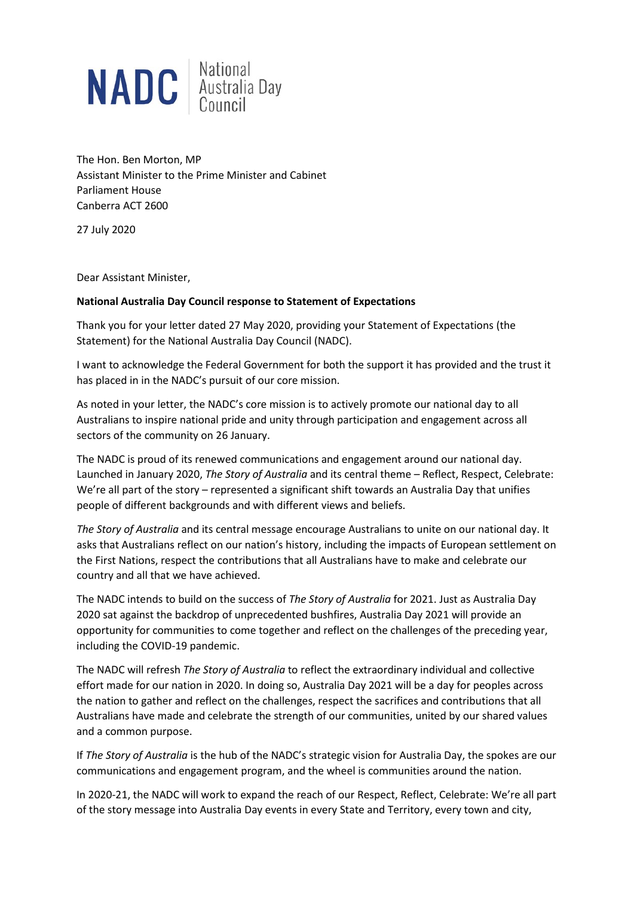

The Hon. Ben Morton, MP Assistant Minister to the Prime Minister and Cabinet Parliament House Canberra ACT 2600

27 July 2020

Dear Assistant Minister,

#### **National Australia Day Council response to Statement of Expectations**

Thank you for your letter dated 27 May 2020, providing your Statement of Expectations (the Statement) for the National Australia Day Council (NADC).

I want to acknowledge the Federal Government for both the support it has provided and the trust it has placed in in the NADC's pursuit of our core mission.

As noted in your letter, the NADC's core mission is to actively promote our national day to all Australians to inspire national pride and unity through participation and engagement across all sectors of the community on 26 January.

The NADC is proud of its renewed communications and engagement around our national day. Launched in January 2020, *The Story of Australia* and its central theme – Reflect, Respect, Celebrate: We're all part of the story – represented a significant shift towards an Australia Day that unifies people of different backgrounds and with different views and beliefs.

*The Story of Australia* and its central message encourage Australians to unite on our national day. It asks that Australians reflect on our nation's history, including the impacts of European settlement on the First Nations, respect the contributions that all Australians have to make and celebrate our country and all that we have achieved.

The NADC intends to build on the success of *The Story of Australia* for 2021. Just as Australia Day 2020 sat against the backdrop of unprecedented bushfires, Australia Day 2021 will provide an opportunity for communities to come together and reflect on the challenges of the preceding year, including the COVID-19 pandemic.

The NADC will refresh *The Story of Australia* to reflect the extraordinary individual and collective effort made for our nation in 2020. In doing so, Australia Day 2021 will be a day for peoples across the nation to gather and reflect on the challenges, respect the sacrifices and contributions that all Australians have made and celebrate the strength of our communities, united by our shared values and a common purpose.

If *The Story of Australia* is the hub of the NADC's strategic vision for Australia Day, the spokes are our communications and engagement program, and the wheel is communities around the nation.

In 2020-21, the NADC will work to expand the reach of our Respect, Reflect, Celebrate: We're all part of the story message into Australia Day events in every State and Territory, every town and city,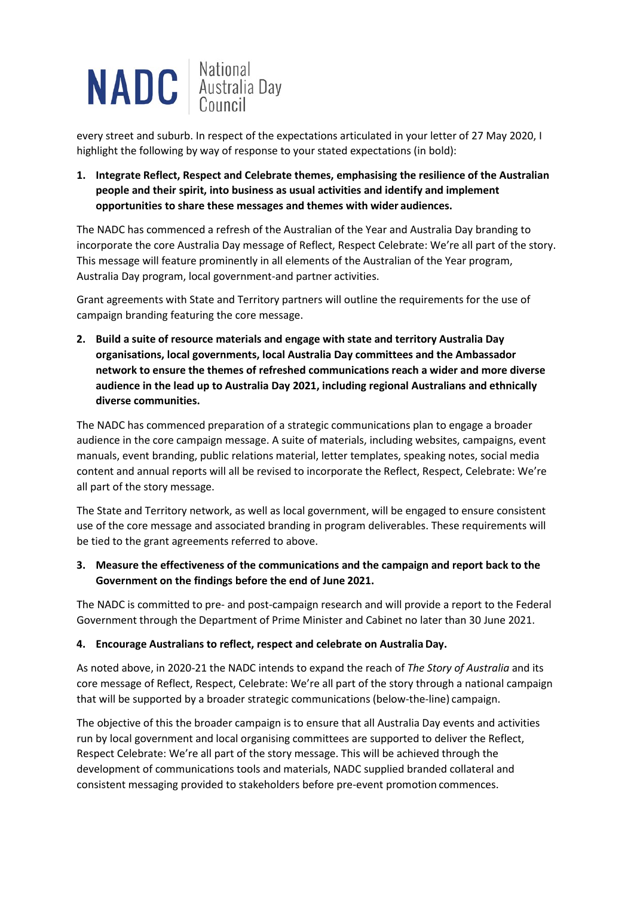

every street and suburb. In respect of the expectations articulated in your letter of 27 May 2020, I highlight the following by way of response to your stated expectations (in bold):

**1. Integrate Reflect, Respect and Celebrate themes, emphasising the resilience of the Australian people and their spirit, into business as usual activities and identify and implement opportunities to share these messages and themes with wider audiences.**

The NADC has commenced a refresh of the Australian of the Year and Australia Day branding to incorporate the core Australia Day message of Reflect, Respect Celebrate: We're all part of the story. This message will feature prominently in all elements of the Australian of the Year program, Australia Day program, local government-and partner activities.

Grant agreements with State and Territory partners will outline the requirements for the use of campaign branding featuring the core message.

**2. Build a suite of resource materials and engage with state and territory Australia Day organisations, local governments, local Australia Day committees and the Ambassador network to ensure the themes of refreshed communications reach a wider and more diverse audience in the lead up to Australia Day 2021, including regional Australians and ethnically diverse communities.**

The NADC has commenced preparation of a strategic communications plan to engage a broader audience in the core campaign message. A suite of materials, including websites, campaigns, event manuals, event branding, public relations material, letter templates, speaking notes, social media content and annual reports will all be revised to incorporate the Reflect, Respect, Celebrate: We're all part of the story message.

The State and Territory network, as well as local government, will be engaged to ensure consistent use of the core message and associated branding in program deliverables. These requirements will be tied to the grant agreements referred to above.

**3. Measure the effectiveness of the communications and the campaign and report back to the Government on the findings before the end of June 2021.**

The NADC is committed to pre- and post-campaign research and will provide a report to the Federal Government through the Department of Prime Minister and Cabinet no later than 30 June 2021.

#### **4. Encourage Australians to reflect, respect and celebrate on AustraliaDay.**

As noted above, in 2020-21 the NADC intends to expand the reach of *The Story of Australia* and its core message of Reflect, Respect, Celebrate: We're all part of the story through a national campaign that will be supported by a broader strategic communications (below-the-line) campaign.

The objective of this the broader campaign is to ensure that all Australia Day events and activities run by local government and local organising committees are supported to deliver the Reflect, Respect Celebrate: We're all part of the story message. This will be achieved through the development of communications tools and materials, NADC supplied branded collateral and consistent messaging provided to stakeholders before pre-event promotion commences.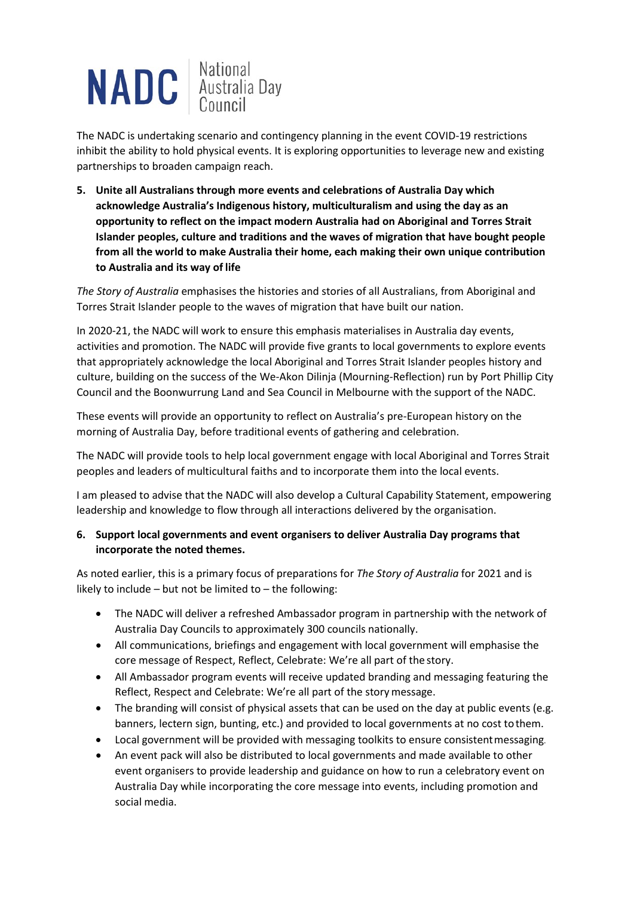

The NADC is undertaking scenario and contingency planning in the event COVID-19 restrictions inhibit the ability to hold physical events. It is exploring opportunities to leverage new and existing partnerships to broaden campaign reach.

**5. Unite all Australians through more events and celebrations of Australia Day which acknowledge Australia's Indigenous history, multiculturalism and using the day as an opportunity to reflect on the impact modern Australia had on Aboriginal and Torres Strait Islander peoples, culture and traditions and the waves of migration that have bought people from all the world to make Australia their home, each making their own unique contribution to Australia and its way of life**

*The Story of Australia* emphasises the histories and stories of all Australians, from Aboriginal and Torres Strait Islander people to the waves of migration that have built our nation.

In 2020-21, the NADC will work to ensure this emphasis materialises in Australia day events, activities and promotion. The NADC will provide five grants to local governments to explore events that appropriately acknowledge the local Aboriginal and Torres Strait Islander peoples history and culture, building on the success of the We-Akon Dilinja (Mourning-Reflection) run by Port Phillip City Council and the Boonwurrung Land and Sea Council in Melbourne with the support of the NADC.

These events will provide an opportunity to reflect on Australia's pre-European history on the morning of Australia Day, before traditional events of gathering and celebration.

The NADC will provide tools to help local government engage with local Aboriginal and Torres Strait peoples and leaders of multicultural faiths and to incorporate them into the local events.

I am pleased to advise that the NADC will also develop a Cultural Capability Statement, empowering leadership and knowledge to flow through all interactions delivered by the organisation.

# **6. Support local governments and event organisers to deliver Australia Day programs that incorporate the noted themes.**

As noted earlier, this is a primary focus of preparations for *The Story of Australia* for 2021 and is likely to include – but not be limited to – the following:

- The NADC will deliver a refreshed Ambassador program in partnership with the network of Australia Day Councils to approximately 300 councils nationally.
- All communications, briefings and engagement with local government will emphasise the core message of Respect, Reflect, Celebrate: We're all part of the story.
- All Ambassador program events will receive updated branding and messaging featuring the Reflect, Respect and Celebrate: We're all part of the story message.
- The branding will consist of physical assets that can be used on the day at public events (e.g. banners, lectern sign, bunting, etc.) and provided to local governments at no cost tothem.
- Local government will be provided with messaging toolkits to ensure consistentmessaging.
- An event pack will also be distributed to local governments and made available to other event organisers to provide leadership and guidance on how to run a celebratory event on Australia Day while incorporating the core message into events, including promotion and social media.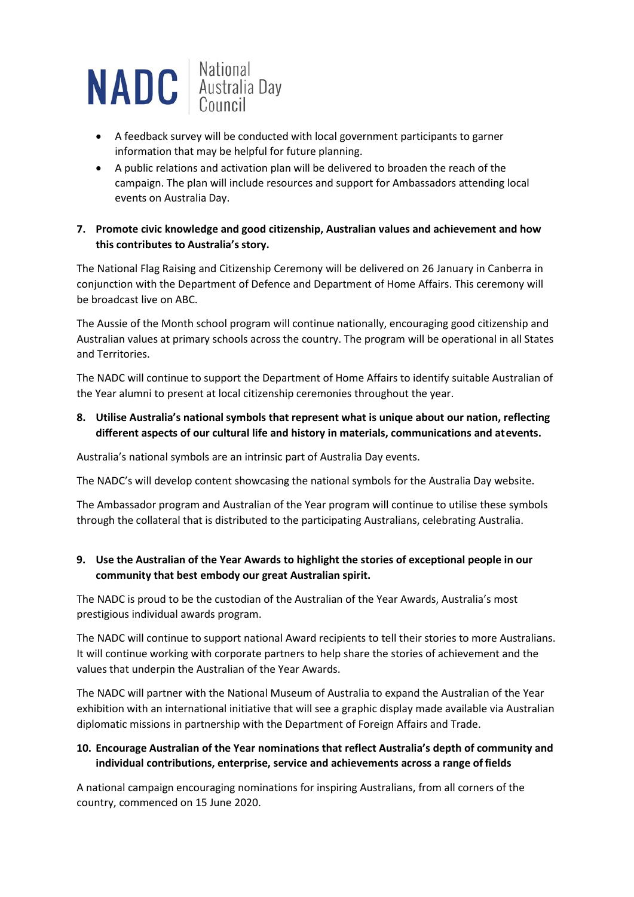

- A feedback survey will be conducted with local government participants to garner information that may be helpful for future planning.
- A public relations and activation plan will be delivered to broaden the reach of the campaign. The plan will include resources and support for Ambassadors attending local events on Australia Day.

#### **7. Promote civic knowledge and good citizenship, Australian values and achievement and how this contributes to Australia's story.**

The National Flag Raising and Citizenship Ceremony will be delivered on 26 January in Canberra in conjunction with the Department of Defence and Department of Home Affairs. This ceremony will be broadcast live on ABC.

The Aussie of the Month school program will continue nationally, encouraging good citizenship and Australian values at primary schools across the country. The program will be operational in all States and Territories.

The NADC will continue to support the Department of Home Affairs to identify suitable Australian of the Year alumni to present at local citizenship ceremonies throughout the year.

# **8. Utilise Australia's national symbols that represent what is unique about our nation, reflecting different aspects of our cultural life and history in materials, communications and atevents.**

Australia's national symbols are an intrinsic part of Australia Day events.

The NADC's will develop content showcasing the national symbols for the Australia Day website.

The Ambassador program and Australian of the Year program will continue to utilise these symbols through the collateral that is distributed to the participating Australians, celebrating Australia.

# **9. Use the Australian of the Year Awards to highlight the stories of exceptional people in our community that best embody our great Australian spirit.**

The NADC is proud to be the custodian of the Australian of the Year Awards, Australia's most prestigious individual awards program.

The NADC will continue to support national Award recipients to tell their stories to more Australians. It will continue working with corporate partners to help share the stories of achievement and the values that underpin the Australian of the Year Awards.

The NADC will partner with the National Museum of Australia to expand the Australian of the Year exhibition with an international initiative that will see a graphic display made available via Australian diplomatic missions in partnership with the Department of Foreign Affairs and Trade.

# **10. Encourage Australian of the Year nominations that reflect Australia's depth of community and individual contributions, enterprise, service and achievements across a range of fields**

A national campaign encouraging nominations for inspiring Australians, from all corners of the country, commenced on 15 June 2020.